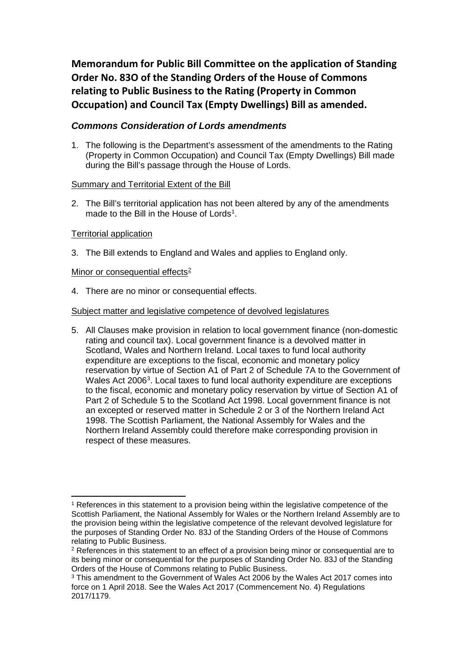**Memorandum for Public Bill Committee on the application of Standing Order No. 83O of the Standing Orders of the House of Commons relating to Public Business to the Rating (Property in Common Occupation) and Council Tax (Empty Dwellings) Bill as amended.**

# *Commons Consideration of Lords amendments*

1. The following is the Department's assessment of the amendments to the Rating (Property in Common Occupation) and Council Tax (Empty Dwellings) Bill made during the Bill's passage through the House of Lords.

## Summary and Territorial Extent of the Bill

2. The Bill's territorial application has not been altered by any of the amendments made to the Bill in the House of Lords<sup>[1](#page-0-0)</sup>.

## Territorial application

3. The Bill extends to England and Wales and applies to England only.

#### Minor or consequential effects $2$

4. There are no minor or consequential effects.

#### Subject matter and legislative competence of devolved legislatures

5. All Clauses make provision in relation to local government finance (non-domestic rating and council tax). Local government finance is a devolved matter in Scotland, Wales and Northern Ireland. Local taxes to fund local authority expenditure are exceptions to the fiscal, economic and monetary policy reservation by virtue of Section A1 of Part 2 of Schedule 7A to the Government of Wales Act 2006<sup>[3](#page-0-2)</sup>. Local taxes to fund local authority expenditure are exceptions to the fiscal, economic and monetary policy reservation by virtue of Section A1 of Part 2 of Schedule 5 to the Scotland Act 1998. Local government finance is not an excepted or reserved matter in Schedule 2 or 3 of the Northern Ireland Act 1998. The Scottish Parliament, the National Assembly for Wales and the Northern Ireland Assembly could therefore make corresponding provision in respect of these measures.

<span id="page-0-0"></span><sup>1</sup> References in this statement to a provision being within the legislative competence of the Scottish Parliament, the National Assembly for Wales or the Northern Ireland Assembly are to the provision being within the legislative competence of the relevant devolved legislature for the purposes of Standing Order No. 83J of the Standing Orders of the House of Commons relating to Public Business.  $\overline{\phantom{a}}$ 

<span id="page-0-1"></span><sup>&</sup>lt;sup>2</sup> References in this statement to an effect of a provision being minor or consequential are to its being minor or consequential for the purposes of Standing Order No. 83J of the Standing Orders of the House of Commons relating to Public Business.

<span id="page-0-2"></span><sup>3</sup> This amendment to the Government of Wales Act 2006 by the Wales Act 2017 comes into force on 1 April 2018. See the Wales Act 2017 (Commencement No. 4) Regulations 2017/1179.